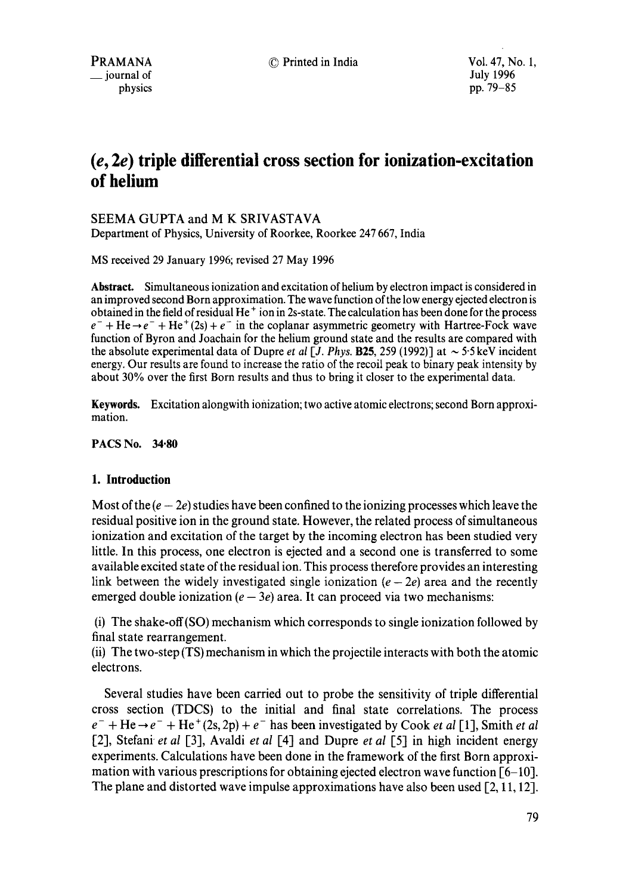physics pp. 79-85

# **(e, 2e) triple differential cross section for ionization-excitation of helium**

# SEEMA GUPTA and M K SRIVASTAVA

Department of Physics, University of Roorkee, Roorkee 247 667, India

MS received 29 January 1996; revised 27 May 1996

**Abstract.** Simultaneous ionization and excitation of helium by electron impact is considered in an improved second Born approximation. The wave function of the low energy ejected electron is obtained in the field of residual He ÷ ion in 2s-state. The calculation has been done for the process  $e^-$  + He  $\rightarrow e^-$  + He  $(2s)$  +  $e^-$  in the coplanar asymmetric geometry with Hartree-Fock wave function of Byron and Joachain for the helium ground state and the results are compared with the absolute experimental data of Dupre *et al* [J. *Phys.* **B25**, 259 (1992)] at  $\sim$  5.5 keV incident energy. Our results are found to increase the ratio of the recoil peak to binary peak intensity by about 30% over the first Born results and thus to bring it closer to the experimental data.

**Keywords.** Excitation alongwith ionization; two active atomic electrons; second Born approximation.

## **PACS No. 34.80**

# **1. Introduction**

Most of the  $(e - 2e)$  studies have been confined to the ionizing processes which leave the residual positive ion in the ground state. However, the related process of simultaneous ionization and excitation of the target by the incoming electron has been studied very little. In this process, one electron is ejected and a second one is transferred to some available excited state of the residual ion. This process therefore provides an interesting link between the widely investigated single ionization  $(e - 2e)$  area and the recently emerged double ionization ( $e - 3e$ ) area. It can proceed via two mechanisms:

(i) The shake-off(SO) mechanism which corresponds to single ionization followed by final state rearrangement.

(ii) The two-step (TS) mechanism in which the projectile interacts with both the atomic electrons.

Several studies have been carried out to probe the sensitivity of triple differential cross section (TDCS) to the initial and final state correlations. The process  $e^-$  + He  $\rightarrow e^-$  + He<sup>+</sup>(2s, 2p) +  $e^-$  has been investigated by Cook *et al* [1], Smith *et al* [2], Stefani *et al* [3], Avaldi *et al* 1-4] and Dupre *et al* [5-1 in high incident energy experiments. Calculations have been done in the framework of the first Born approximation with various prescriptions for obtaining ejected electron wave function  $[6-10]$ . The plane and distorted wave impulse approximations have also been used  $[2, 11, 12]$ .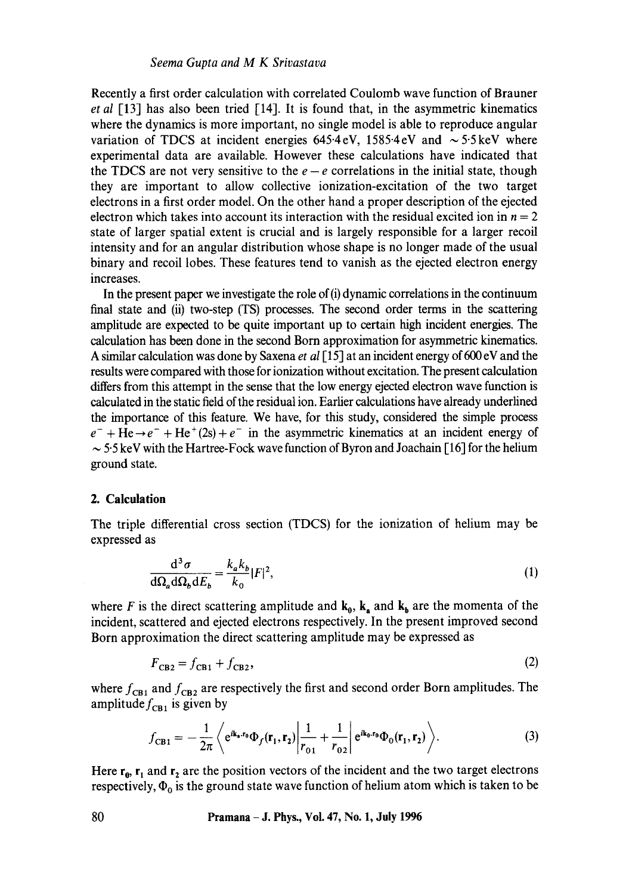Recently a first order calculation with correlated Coulomb wave function of Brauner *et al* [13] has also been tried [14]. It is found that, in the asymmetric kinematics where the dynamics is more important, no single model is able to reproduce angular variation of TDCS at incident energies  $645.4 \text{ eV}$ ,  $1585.4 \text{ eV}$  and  $\sim 5.5 \text{ keV}$  where experimental data are available. However these calculations have indicated that the TDCS are not very sensitive to the  $e - e$  correlations in the initial state, though they are important to allow collective ionization-excitation of the two target electrons in a first order model. On the other hand a proper description of the ejected electron which takes into account its interaction with the residual excited ion in  $n = 2$ state of larger spatial extent is crucial and is largely responsible for a larger recoil intensity and for an angular distribution whose shape is no longer made of the usual binary and recoil lobes. These features tend to vanish as the ejected electron energy increases.

In the present paper we investigate the role of  $(i)$  dynamic correlations in the continuum final state and (ii) two-step (TS) processes. The second order terms in the scattering amplitude are expected to be quite important up to certain high incident energies. The calculation has been done in the second Born approximation for asymmetric kinematics. A similar calculation was done by Saxena *et al* [15] at an incident energy of 600 eV and the results were compared with those for ionization without excitation. The present calculation differs from this attempt in the sense that the low energy ejected electron wave function is calculated in the static field of the residual ion. Earlier calculations have already underlined the importance of this feature. We have, for this study, considered the simple process  $e^-$  + He  $\rightarrow e^-$  + He + (2s) +  $e^-$  in the asymmetric kinematics at an incident energy of  $\sim$  5.5 keV with the Hartree-Fock wave function of Byron and Joachain [16] for the helium ground state.

#### **2. Calculation**

The triple differential cross section (TDCS) for the ionization of helium may be expressed as

$$
\frac{\mathrm{d}^3 \sigma}{\mathrm{d}\Omega_b \mathrm{d} E_b} = \frac{k_a k_b}{k_0} |F|^2,\tag{1}
$$

where F is the direct scattering amplitude and  $\mathbf{k}_0$ ,  $\mathbf{k}_a$  and  $\mathbf{k}_b$  are the momenta of the incident, scattered and ejected electrons respectively. In the present improved second Born approximation the direct scattering amplitude may be expressed as

$$
F_{\rm CB2} = f_{\rm CB1} + f_{\rm CB2},\tag{2}
$$

where  $f_{CB1}$  and  $f_{CB2}$  are respectively the first and second order Born amplitudes. The amplitude  $f_{\text{CH1}}$  is given by

$$
f_{\text{CB1}} = -\frac{1}{2\pi} \left\langle e^{i\mathbf{k}_a \cdot \mathbf{r}_0} \Phi_f(\mathbf{r}_1, \mathbf{r}_2) \bigg| \frac{1}{r_{01}} + \frac{1}{r_{02}} \bigg| e^{i\mathbf{k}_0 \cdot \mathbf{r}_0} \Phi_0(\mathbf{r}_1, \mathbf{r}_2) \right\rangle. \tag{3}
$$

Here  $r_0$ ,  $r_1$  and  $r_2$  are the position vectors of the incident and the two target electrons respectively,  $\Phi_0$  is the ground state wave function of helium atom which is taken to be

**80 Pramana - J. Phys., Vol. 47, No. 1, July 1996**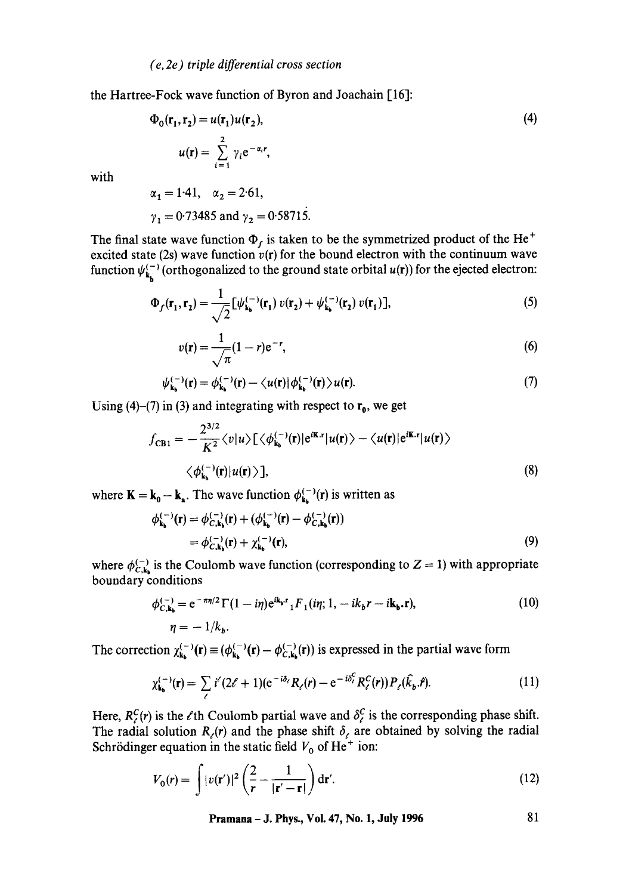the Hartree-Fock wave function of Byron and Joachain [16]:

$$
\Phi_0(\mathbf{r}_1, \mathbf{r}_2) = u(\mathbf{r}_1)u(\mathbf{r}_2),
$$
\n
$$
u(\mathbf{r}) = \sum_{i=1}^2 \gamma_i e^{-\alpha_i r},
$$
\n
$$
\alpha_i = 1.41 \quad \alpha_i = 2.61
$$
\n(4)

with

$$
\alpha_1 = 1.41
$$
,  $\alpha_2 = 2.61$ ,  
\n $\gamma_1 = 0.73485$  and  $\gamma_2 = 0.58715$ .

The final state wave function  $\Phi_f$  is taken to be the symmetrized product of the He<sup>+</sup> excited state (2s) wave function  $v(r)$  for the bound electron with the continuum wave function  $\psi_{\mathbf{k}_n}^{(-)}$  (orthogonalized to the ground state orbital  $u(\mathbf{r})$ ) for the ejected electron:

$$
\Phi_f(\mathbf{r}_1, \mathbf{r}_2) = \frac{1}{\sqrt{2}} \left[ \psi_{\mathbf{k}_b}^{(-)}(\mathbf{r}_1) \, v(\mathbf{r}_2) + \psi_{\mathbf{k}_b}^{(-)}(\mathbf{r}_2) \, v(\mathbf{r}_1) \right],\tag{5}
$$

$$
v(\mathbf{r}) = \frac{1}{\sqrt{\pi}} (1 - r) e^{-r},
$$
 (6)

$$
\psi_{\mathbf{k}_{\mathbf{b}}}^{(-)}(\mathbf{r}) = \phi_{\mathbf{k}_{\mathbf{b}}}^{(-)}(\mathbf{r}) - \langle u(\mathbf{r}) | \phi_{\mathbf{k}_{\mathbf{b}}}^{(-)}(\mathbf{r}) \rangle u(\mathbf{r}). \tag{7}
$$

Using (4)–(7) in (3) and integrating with respect to  $r_0$ , we get

$$
f_{\text{CB1}} = -\frac{2^{3/2}}{K^2} \langle v|u\rangle \left[\langle \phi_{\mathbf{k}_b}^{(-)}(\mathbf{r})|e^{i\mathbf{K}.\mathbf{r}}|u(\mathbf{r})\rangle - \langle u(\mathbf{r})|e^{i\mathbf{K}.\mathbf{r}}|u(\mathbf{r})\rangle \right] \langle \phi_{\mathbf{k}_b}^{(-)}(\mathbf{r})|u(\mathbf{r})\rangle \,],\tag{8}
$$

where  $K = k_0 - k_a$ . The wave function  $\phi_{k_a}^{(-)}(r)$  is written as

$$
\phi_{\mathbf{k}_b}^{(-)}(\mathbf{r}) = \phi_{C,\mathbf{k}_b}^{(-)}(\mathbf{r}) + (\phi_{\mathbf{k}_b}^{(-)}(\mathbf{r}) - \phi_{C,\mathbf{k}_b}^{(-)}(\mathbf{r})) \n= \phi_{C,\mathbf{k}_b}^{(-)}(\mathbf{r}) + \chi_{\mathbf{k}_b}^{(-)}(\mathbf{r}),
$$
\n(9)

where  $\phi_{C,k_b}^{(-)}$  is the Coulomb wave function (corresponding to  $Z = 1$ ) with appropriate boundary conditions

$$
\phi_{C,\mathbf{k}_b}^{(-)} = e^{-\pi\eta/2} \Gamma(1 - i\eta) e^{i\mathbf{k}_b \cdot \mathbf{r}} {}_1F_1(i\eta; 1, -ik_b r - i\mathbf{k}_b \cdot \mathbf{r}),
$$
\n
$$
\eta = -1/k_b.
$$
\n(10)

The correction  $\chi_{k_b}^{(-)}(\mathbf{r}) \equiv (\phi_{k_b}^{(-)}(\mathbf{r}) - \phi_{C,k_b}^{(-)}(\mathbf{r}))$  is expressed in the partial wave form

$$
\chi_{\mathbf{k}_{\mathbf{b}}}^{(-)}(\mathbf{r}) = \sum_{\ell} i^{\ell} (2\ell + 1)(e^{-i\delta_{\ell}} R_{\ell}(r) - e^{-i\delta_{\ell}^{C}} R_{\ell}^{C}(r)) P_{\ell}(\hat{k}_{\mathbf{b}}, \hat{r}). \tag{11}
$$

Here,  $R_c^C(r)$  is the  $\ell$ th Coulomb partial wave and  $\delta_c^C$  is the corresponding phase shift. The radial solution  $R_{\ell}(r)$  and the phase shift  $\delta_{\ell}$  are obtained by solving the radial Schrödinger equation in the static field  $V_0$  of He<sup>+</sup> ion:

$$
V_0(r) = \int |v(\mathbf{r}')|^2 \left(\frac{2}{r} - \frac{1}{|\mathbf{r}' - \mathbf{r}|}\right) d\mathbf{r}'.\tag{12}
$$

**Pramana – J. Phys., Vol. 47, No. 1, July 1996** 81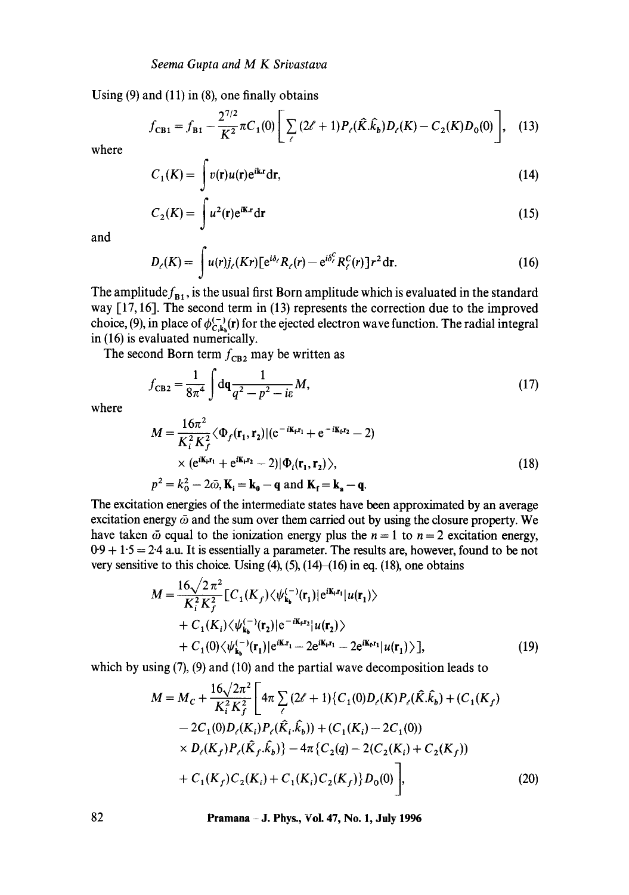Using  $(9)$  and  $(11)$  in  $(8)$ , one finally obtains

$$
f_{\text{CB1}} = f_{\text{B1}} - \frac{2^{7/2}}{K^2} \pi C_1(0) \left[ \sum_{\ell} (2\ell + 1) P_{\ell}(\hat{K}.\hat{k}_b) D_{\ell}(K) - C_2(K) D_0(0) \right], \quad (13)
$$

where

$$
C_1(K) = \int v(\mathbf{r})u(\mathbf{r})e^{i\mathbf{k}\cdot\mathbf{r}}d\mathbf{r},\tag{14}
$$

$$
C_2(K) = \int u^2(\mathbf{r}) e^{i\mathbf{K}\cdot\mathbf{r}} d\mathbf{r}
$$
 (15)

and

$$
D_{\ell}(K) = \int u(r)j_{\ell}(Kr)[e^{i\delta_{\ell}}R_{\ell}(r) - e^{i\delta_{\ell}^{C}}R_{\ell}^{C}(r)]r^{2}dr.
$$
 (16)

The amplitude  $f_{B_1}$ , is the usual first Born amplitude which is evaluated in the standard way [17, 16]. The second term in (13) represents the correction due to the improved choice, (9), in place of  $\phi_{C,k}^{(-)}(r)$  for the ejected electron wave function. The radial integral in (16) is evaluated numerically.

The second Born term  $f_{\text{CB2}}$  may be written as

$$
f_{\rm CB2} = \frac{1}{8\pi^4} \int d\mathbf{q} \frac{1}{q^2 - p^2 - i\varepsilon} M,
$$
 (17)

where

$$
M = \frac{16\pi^2}{K_i^2 K_f^2} \langle \Phi_f(\mathbf{r}_1, \mathbf{r}_2) | (\mathbf{e}^{-i\mathbf{K_f}\mathbf{r}_1} + \mathbf{e}^{-i\mathbf{K_f}\mathbf{r}_2} - 2)
$$
  
×  $(\mathbf{e}^{i\mathbf{K_i}\mathbf{r}_1} + \mathbf{e}^{i\mathbf{K_f}\mathbf{r}_2} - 2) | \Phi_i(\mathbf{r}_1, \mathbf{r}_2) \rangle$ ,  
 $p^2 = k_0^2 - 2\bar{\omega}, \mathbf{K_i} = \mathbf{k_0} - \mathbf{q} \text{ and } \mathbf{K_f} = \mathbf{k_a} - \mathbf{q}.$  (18)

The excitation energies of the intermediate states have been approximated by an average excitation energy  $\bar{\omega}$  and the sum over them carried out by using the closure property. We have taken  $\bar{\omega}$  equal to the ionization energy plus the  $n = 1$  to  $n = 2$  excitation energy,  $0.9 + 1.5 = 2.4$  a.u. It is essentially a parameter. The results are, however, found to be not very sensitive to this choice. Using  $(4)$ ,  $(5)$ ,  $(14)$ – $(16)$  in eq.  $(18)$ , one obtains

$$
M = \frac{16\sqrt{2}\pi^2}{K_i^2 K_f^2} [C_1(K_f)\langle \psi_{k_b}^{(-)}(\mathbf{r}_1)|e^{i\mathbf{K_i}\cdot\mathbf{r}_1}|u(\mathbf{r}_1)\rangle + C_1(K_i)\langle \psi_{k_b}^{(-)}(\mathbf{r}_2)|e^{-i\mathbf{K_r}\cdot\mathbf{r}_2}|u(\mathbf{r}_2)\rangle + C_1(0)\langle \psi_{k_b}^{(-)}(\mathbf{r}_1)|e^{i\mathbf{K_r}\cdot\mathbf{r}_1} - 2e^{i\mathbf{K_r}\cdot\mathbf{r}_1}|u(\mathbf{r}_1)\rangle],
$$
(19)

which by using (7), (9) and (10) and the partial wave decomposition leads to

$$
M = M_C + \frac{16\sqrt{2\pi^2}}{K_i^2 K_f^2} \left[ 4\pi \sum_{\ell} (2\ell + 1) \{ C_1(0) D_{\ell}(K) P_{\ell}(\hat{K}, \hat{k}_b) + (C_1(K_f)) - 2C_1(0) D_{\ell}(K_i) P_{\ell}(\hat{K}_i, \hat{k}_b) \} + (C_1(K_i) - 2C_1(0)) \right] \times D_{\ell}(K_f) P_{\ell}(\hat{K}_f, \hat{k}_b) - 4\pi \{ C_2(q) - 2(C_2(K_i) + C_2(K_f)) + C_1(K_f) C_2(K_i) + C_1(K_i) C_2(K_f) \} D_0(0) \right],
$$
\n(20)

**82 Pramana - J. Phys., Vol. 47, No. 1, July 1996**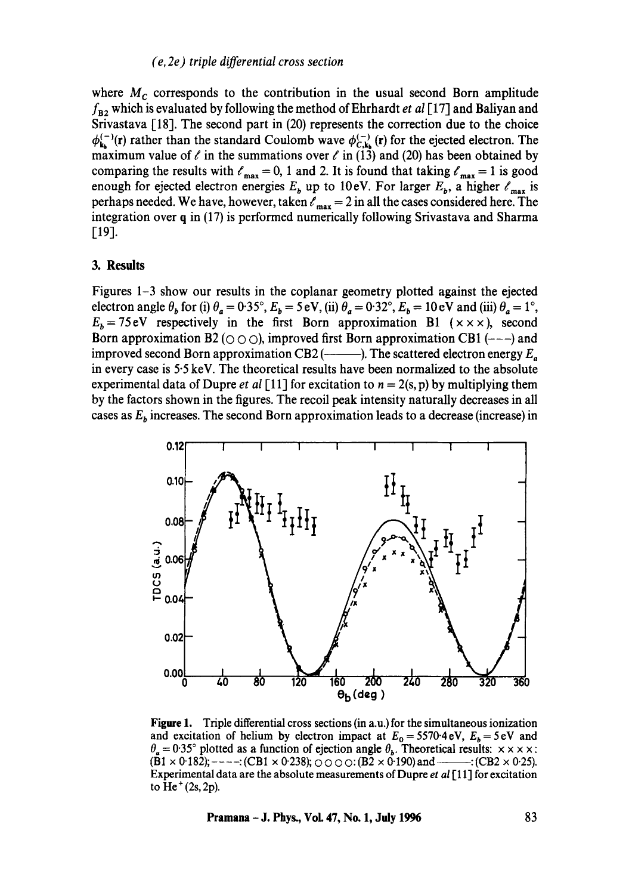## *(e, 2e) triple differential cross section*

where  $M_c$  corresponds to the contribution in the usual second Born amplitude  $f_{\text{B2}}$  which is evaluated by following the method of Ehrhardt *et al* [17] and Baliyan and Srivastava [18]. The second part in (20) represents the correction due to the choice  $\phi_{k_h}^{(-)}(r)$  rather than the standard Coulomb wave  $\phi_{C,k_h}^{(-)}(r)$  for the ejected electron. The maximum value of  $\ell$  in the summations over  $\ell$  in (13) and (20) has been obtained by comparing the results with  $\ell_{\text{max}} = 0$ , 1 and 2. It is found that taking  $\ell_{\text{max}} = 1$  is good enough for ejected electron energies  $E_b$  up to 10eV. For larger  $E_b$ , a higher  $\ell_{\text{max}}$  is perhaps needed. We have, however, taken  $\ell_{\text{max}} = 2$  in all the cases considered here. The integration over q in (17) is performed numerically following Srivastava and Sharma [19].

#### **3. Results**

Figures 1-3 show our results in the coplanar geometry plotted against the ejected electron angle  $\theta_b$  for (i)  $\theta_a = 0.35^\circ$ ,  $E_b = 5 \text{ eV}$ , (ii)  $\theta_a = 0.32^\circ$ ,  $E_b = 10 \text{ eV}$  and (iii)  $\theta_a = 1^\circ$ ,  $E_b = 75$  eV respectively in the first Born approximation B1 ( $\times \times \times$ ), second Born approximation B2 ( $\circ$   $\circ$ ), improved first Born approximation CB1 (---) and improved second Born approximation CB2 ( $\longleftarrow$ ). The scattered electron energy  $E_{\alpha}$ in every case is 5.5 keV. The theoretical results have been normalized to the absolute experimental data of Dupre *et al* [11] for excitation to  $n = 2(s, p)$  by multiplying them by the factors shown in the figures. The recoil peak intensity naturally decreases in all cases as  $E<sub>b</sub>$  increases. The second Born approximation leads to a decrease (increase) in



**Figure** 1. Triple differential cross sections (in a.u.) for the simultaneous ionization and excitation of helium by electron impact at  $E_0 = 5570.4 \text{ eV}$ ,  $E_b = 5 \text{ eV}$  and  $\theta_a = 0.35^{\circ}$  plotted as a function of ejection angle  $\theta_b$ . Theoretical results:  $\times \times \times \times$ :  $(B1 \times 0.182);$  ----: (CB1  $\times$  0.238);  $\circ$   $\circ$   $\circ$   $\circ$  : (B2  $\times$  0.190) and  $\cdots$  : (CB2  $\times$  0.25). Experimental data are the absolute measurements of Dupre *et al* [11] for excitation to  $He<sup>+</sup> (2s, 2p)$ .

**Pramana - J. Phys., Vol. 47, No. 1, July 1996** 83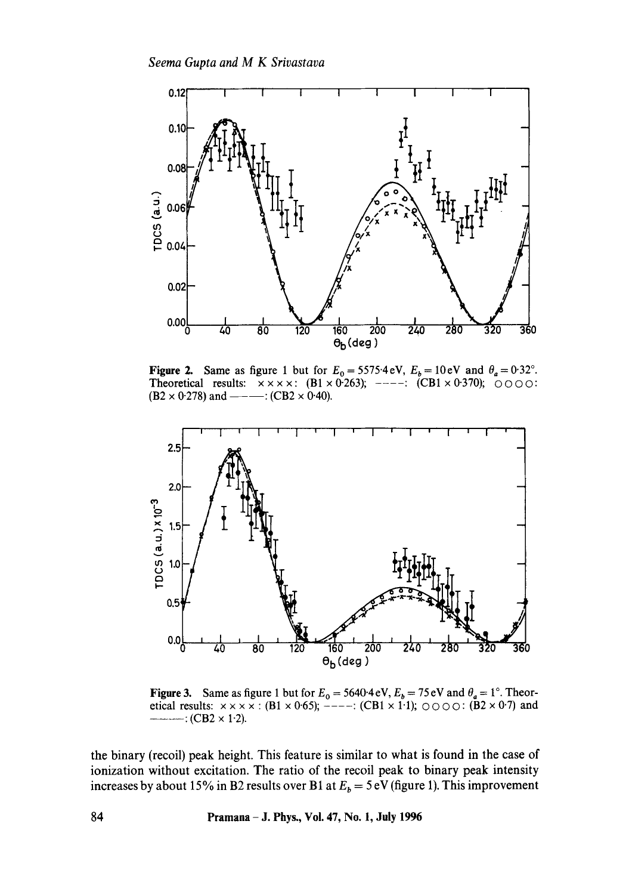

**Figure 2.** Same as figure 1 but for  $E_0 = 5575.4 \text{ eV}$ ,  $E_b = 10 \text{ eV}$  and  $\theta_a = 0.32^\circ$ . Theoretical results:  $\times \times \times \times$ : (B1  $\times$  0.263); ----: (CB1  $\times$  0.370);  $\circ$  0.000:  $(B2 \times 0.278)$  and ———: (CB2  $\times$  0.40).



Figure 3. Same as figure 1 but for  $E_0 = 5640.4 \text{ eV}, E_b = 75 \text{ eV}$  and  $\theta_a = 1^\circ$ . Theoretical results:  $x \times x \times x$  : (B1 x 0.65); -----: (CB1 x 1.1);  $\circ \circ \circ \circ$  : (B2 x 0.7) and  $---: (CB2 \times 1.2).$ 

the binary (recoil) peak height. This feature is similar to what is found in the case of ionization without excitation. The ratio of the recoil peak to binary peak intensity increases by about 15% in B2 results over B1 at  $E<sub>b</sub> = 5$  eV (figure 1). This improvement

**84 Pramana - J. Phys., Vol. 47, No. 1, July 1996**